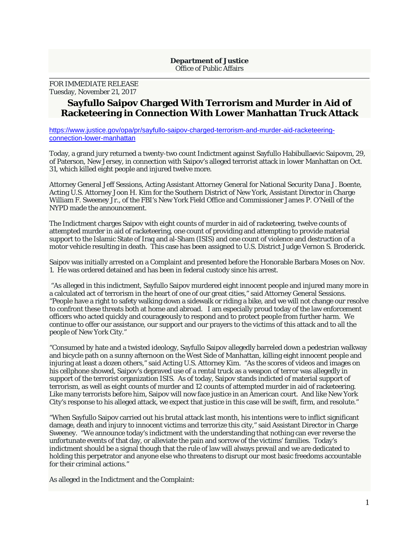## **Department of Justice**  Office of Public Affairs

FOR IMMEDIATE RELEASE Tuesday, November 21, 2017

## **Sayfullo Saipov Charged With Terrorism and Murder in Aid of Racketeering in Connection With Lower Manhattan Truck Attack**

https://www.justice.gov/opa/pr/sayfullo-saipov-charged-terrorism-and-murder-aid-racketeeringconnection-lower-manhattan

Today, a grand jury returned a twenty-two count Indictment against Sayfullo Habibullaevic Saipovm, 29, of Paterson, New Jersey, in connection with Saipov's alleged terrorist attack in lower Manhattan on Oct. 31, which killed eight people and injured twelve more.

Attorney General Jeff Sessions, Acting Assistant Attorney General for National Security Dana J. Boente, Acting U.S. Attorney Joon H. Kim for the Southern District of New York, Assistant Director in Charge William F. Sweeney Jr., of the FBI's New York Field Office and Commissioner James P. O'Neill of the NYPD made the announcement.

The Indictment charges Saipov with eight counts of murder in aid of racketeering, twelve counts of attempted murder in aid of racketeering, one count of providing and attempting to provide material support to the Islamic State of Iraq and al-Sham (ISIS) and one count of violence and destruction of a motor vehicle resulting in death. This case has been assigned to U.S. District Judge Vernon S. Broderick.

Saipov was initially arrested on a Complaint and presented before the Honorable Barbara Moses on Nov. 1. He was ordered detained and has been in federal custody since his arrest.

 "As alleged in this indictment, Sayfullo Saipov murdered eight innocent people and injured many more in a calculated act of terrorism in the heart of one of our great cities," said Attorney General Sessions. "People have a right to safety walking down a sidewalk or riding a bike, and we will not change our resolve to confront these threats both at home and abroad. I am especially proud today of the law enforcement officers who acted quickly and courageously to respond and to protect people from further harm. We continue to offer our assistance, our support and our prayers to the victims of this attack and to all the people of New York City."

"Consumed by hate and a twisted ideology, Sayfullo Saipov allegedly barreled down a pedestrian walkway and bicycle path on a sunny afternoon on the West Side of Manhattan, killing eight innocent people and injuring at least a dozen others," said Acting U.S. Attorney Kim. "As the scores of videos and images on his cellphone showed, Saipov's depraved use of a rental truck as a weapon of terror was allegedly in support of the terrorist organization ISIS. As of today, Saipov stands indicted of material support of terrorism, as well as eight counts of murder and 12 counts of attempted murder in aid of racketeering. Like many terrorists before him, Saipov will now face justice in an American court. And like New York City's response to his alleged attack, we expect that justice in this case will be swift, firm, and resolute."

"When Sayfullo Saipov carried out his brutal attack last month, his intentions were to inflict significant damage, death and injury to innocent victims and terrorize this city," said Assistant Director in Charge Sweeney. "We announce today's indictment with the understanding that nothing can ever reverse the unfortunate events of that day, or alleviate the pain and sorrow of the victims' families. Today's indictment should be a signal though that the rule of law will always prevail and we are dedicated to holding this perpetrator and anyone else who threatens to disrupt our most basic freedoms accountable for their criminal actions."

As alleged in the Indictment and the Complaint: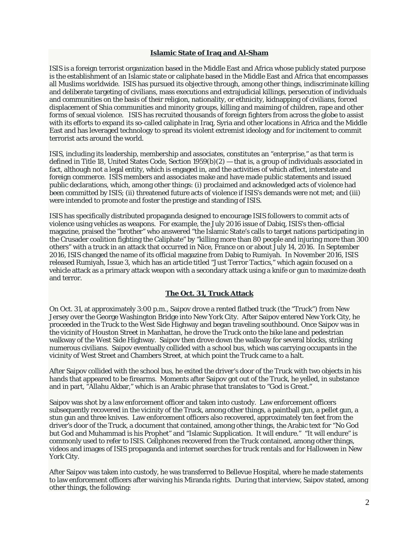## **Islamic State of Iraq and Al-Sham**

ISIS is a foreign terrorist organization based in the Middle East and Africa whose publicly stated purpose is the establishment of an Islamic state or caliphate based in the Middle East and Africa that encompasses all Muslims worldwide. ISIS has pursued its objective through, among other things, indiscriminate killing and deliberate targeting of civilians, mass executions and extrajudicial killings, persecution of individuals and communities on the basis of their religion, nationality, or ethnicity, kidnapping of civilians, forced displacement of Shia communities and minority groups, killing and maiming of children, rape and other forms of sexual violence. ISIS has recruited thousands of foreign fighters from across the globe to assist with its efforts to expand its so-called caliphate in Iraq, Syria and other locations in Africa and the Middle East and has leveraged technology to spread its violent extremist ideology and for incitement to commit terrorist acts around the world.

ISIS, including its leadership, membership and associates, constitutes an "enterprise," as that term is defined in Title 18, United States Code, Section 1959(b)(2) — that is, a group of individuals associated in fact, although not a legal entity, which is engaged in, and the activities of which affect, interstate and foreign commerce. ISIS members and associates make and have made public statements and issued public declarations, which, among other things: (i) proclaimed and acknowledged acts of violence had been committed by ISIS; (ii) threatened future acts of violence if ISIS's demands were not met; and (iii) were intended to promote and foster the prestige and standing of ISIS.

ISIS has specifically distributed propaganda designed to encourage ISIS followers to commit acts of violence using vehicles as weapons. For example, the July 2016 issue of Dabiq, ISIS's then-official magazine, praised the "brother" who answered "the Islamic State's calls to target nations participating in the Crusader coalition fighting the Caliphate" by "killing more than 80 people and injuring more than 300 others" with a truck in an attack that occurred in Nice, France on or about July 14, 2016. In September 2016, ISIS changed the name of its official magazine from Dabiq to Rumiyah. In November 2016, ISIS released Rumiyah, Issue 3, which has an article titled "Just Terror Tactics," which again focused on a vehicle attack as a primary attack weapon with a secondary attack using a knife or gun to maximize death and terror.

## **The Oct. 31, Truck Attack**

On Oct. 31, at approximately 3:00 p.m., Saipov drove a rented flatbed truck (the "Truck") from New Jersey over the George Washington Bridge into New York City. After Saipov entered New York City, he proceeded in the Truck to the West Side Highway and began traveling southbound. Once Saipov was in the vicinity of Houston Street in Manhattan, he drove the Truck onto the bike lane and pedestrian walkway of the West Side Highway. Saipov then drove down the walkway for several blocks, striking numerous civilians. Saipov eventually collided with a school bus, which was carrying occupants in the vicinity of West Street and Chambers Street, at which point the Truck came to a halt.

After Saipov collided with the school bus, he exited the driver's door of the Truck with two objects in his hands that appeared to be firearms. Moments after Saipov got out of the Truck, he yelled, in substance and in part, "Allahu Akbar," which is an Arabic phrase that translates to "God is Great."

Saipov was shot by a law enforcement officer and taken into custody. Law enforcement officers subsequently recovered in the vicinity of the Truck, among other things, a paintball gun, a pellet gun, a stun gun and three knives. Law enforcement officers also recovered, approximately ten feet from the driver's door of the Truck, a document that contained, among other things, the Arabic text for "No God but God and Muhammad is his Prophet" and "Islamic Supplication. It will endure." "It will endure" is commonly used to refer to ISIS. Cellphones recovered from the Truck contained, among other things, videos and images of ISIS propaganda and internet searches for truck rentals and for Halloween in New York City.

After Saipov was taken into custody, he was transferred to Bellevue Hospital, where he made statements to law enforcement officers after waiving his Miranda rights. During that interview, Saipov stated, among other things, the following: